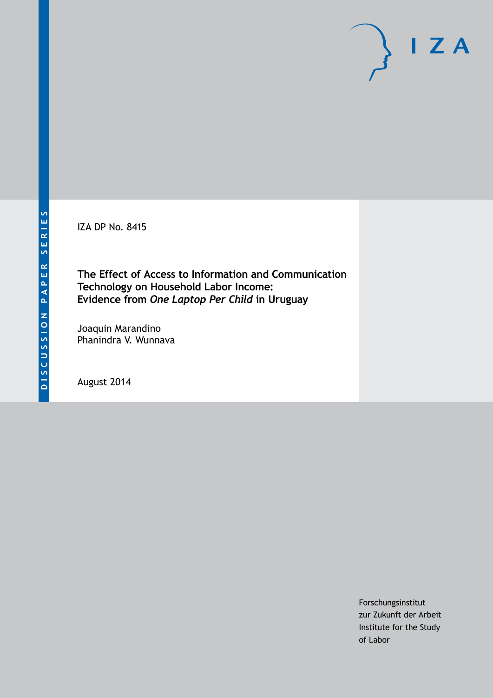IZA DP No. 8415

**The Effect of Access to Information and Communication Technology on Household Labor Income: Evidence from** *One Laptop Per Child* **in Uruguay**

Joaquin Marandino Phanindra V. Wunnava

August 2014

Forschungsinstitut zur Zukunft der Arbeit Institute for the Study of Labor

 $I Z A$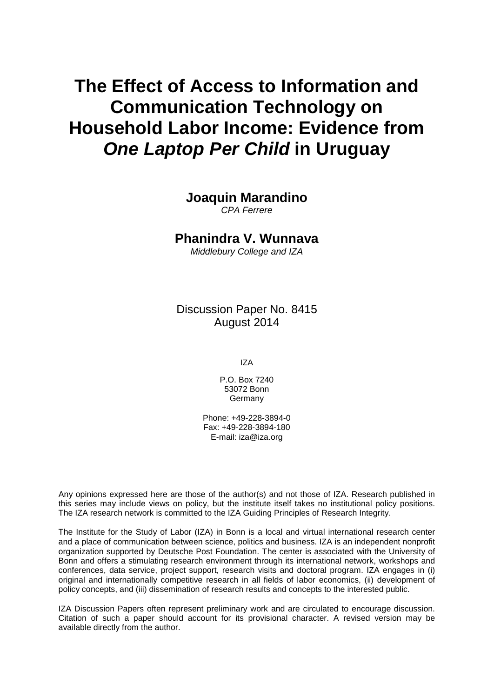# **The Effect of Access to Information and Communication Technology on Household Labor Income: Evidence from** *One Laptop Per Child* **in Uruguay**

### **Joaquin Marandino**

*CPA Ferrere*

#### **Phanindra V. Wunnava**

*Middlebury College and IZA*

Discussion Paper No. 8415 August 2014

IZA

P.O. Box 7240 53072 Bonn Germany

Phone: +49-228-3894-0 Fax: +49-228-3894-180 E-mail: [iza@iza.org](mailto:iza@iza.org)

Any opinions expressed here are those of the author(s) and not those of IZA. Research published in this series may include views on policy, but the institute itself takes no institutional policy positions. The IZA research network is committed to the IZA Guiding Principles of Research Integrity.

The Institute for the Study of Labor (IZA) in Bonn is a local and virtual international research center and a place of communication between science, politics and business. IZA is an independent nonprofit organization supported by Deutsche Post Foundation. The center is associated with the University of Bonn and offers a stimulating research environment through its international network, workshops and conferences, data service, project support, research visits and doctoral program. IZA engages in (i) original and internationally competitive research in all fields of labor economics, (ii) development of policy concepts, and (iii) dissemination of research results and concepts to the interested public.

IZA Discussion Papers often represent preliminary work and are circulated to encourage discussion. Citation of such a paper should account for its provisional character. A revised version may be available directly from the author.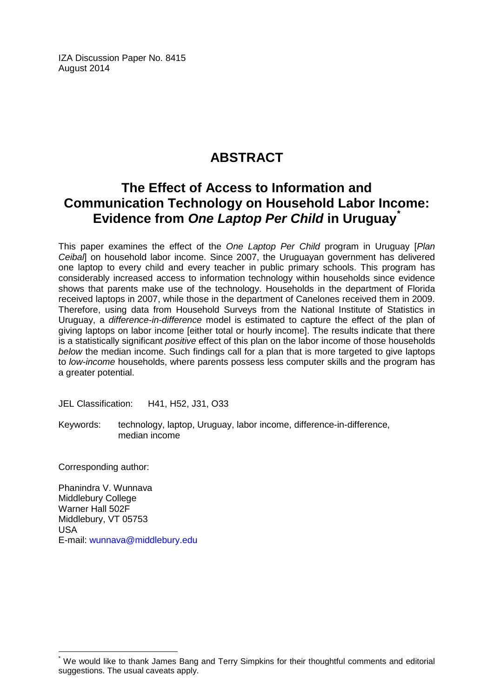IZA Discussion Paper No. 8415 August 2014

# **ABSTRACT**

# **The Effect of Access to Information and Communication Technology on Household Labor Income: Evidence from** *One Laptop Per Child* **in Uruguay[\\*](#page-2-0)**

This paper examines the effect of the *One Laptop Per Child* program in Uruguay [*Plan Ceibal*] on household labor income. Since 2007, the Uruguayan government has delivered one laptop to every child and every teacher in public primary schools. This program has considerably increased access to information technology within households since evidence shows that parents make use of the technology. Households in the department of Florida received laptops in 2007, while those in the department of Canelones received them in 2009. Therefore, using data from Household Surveys from the National Institute of Statistics in Uruguay, a *difference-in-difference* model is estimated to capture the effect of the plan of giving laptops on labor income [either total or hourly income]. The results indicate that there is a statistically significant *positive* effect of this plan on the labor income of those households *below* the median income. Such findings call for a plan that is more targeted to give laptops to *low-income* households, where parents possess less computer skills and the program has a greater potential.

JEL Classification: H41, H52, J31, O33

Keywords: technology, laptop, Uruguay, labor income, difference-in-difference, median income

Corresponding author:

Phanindra V. Wunnava Middlebury College Warner Hall 502F Middlebury, VT 05753 USA E-mail: [wunnava@middlebury.edu](mailto:wunnava@middlebury.edu)

<span id="page-2-0"></span>We would like to thank James Bang and Terry Simpkins for their thoughtful comments and editorial suggestions. The usual caveats apply.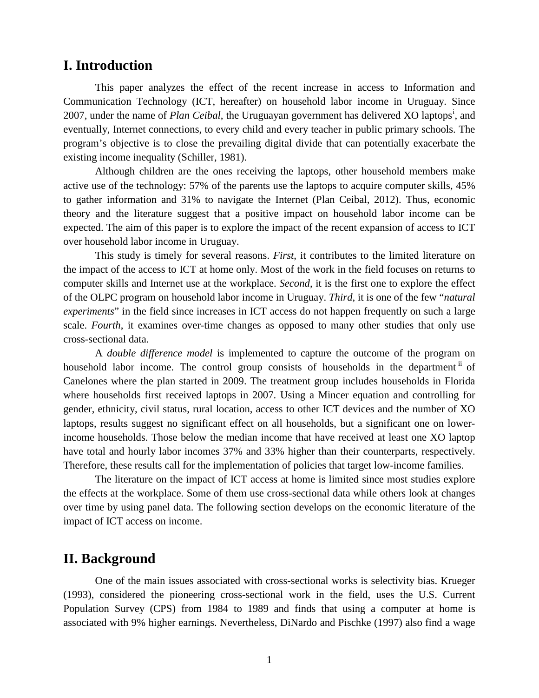#### **I. Introduction**

This paper analyzes the effect of the recent increase in access to Information and Communication Technology (ICT, hereafter) on household labor income in Uruguay. Since 2007, under the name of *Plan Ce[i](#page-17-0)bal*, the Uruguayan government has delivered XO laptops<sup>i</sup>, and eventually, Internet connections, to every child and every teacher in public primary schools. The program's objective is to close the prevailing digital divide that can potentially exacerbate the existing income inequality (Schiller, 1981).

Although children are the ones receiving the laptops, other household members make active use of the technology: 57% of the parents use the laptops to acquire computer skills, 45% to gather information and 31% to navigate the Internet (Plan Ceibal, 2012). Thus, economic theory and the literature suggest that a positive impact on household labor income can be expected. The aim of this paper is to explore the impact of the recent expansion of access to ICT over household labor income in Uruguay.

This study is timely for several reasons. *First*, it contributes to the limited literature on the impact of the access to ICT at home only. Most of the work in the field focuses on returns to computer skills and Internet use at the workplace. *Second*, it is the first one to explore the effect of the OLPC program on household labor income in Uruguay. *Third*, it is one of the few "*natural experiments*" in the field since increases in ICT access do not happen frequently on such a large scale. *Fourth*, it examines over-time changes as opposed to many other studies that only use cross-sectional data.

A *double difference model* is implemented to capture the outcome of the program on household labor income. The control group consists of households in the department<sup> $<sup>n</sup>$ </sup> of</sup> Canelones where the plan started in 2009. The treatment group includes households in Florida where households first received laptops in 2007. Using a Mincer equation and controlling for gender, ethnicity, civil status, rural location, access to other ICT devices and the number of XO laptops, results suggest no significant effect on all households, but a significant one on lowerincome households. Those below the median income that have received at least one XO laptop have total and hourly labor incomes 37% and 33% higher than their counterparts, respectively. Therefore, these results call for the implementation of policies that target low-income families.

The literature on the impact of ICT access at home is limited since most studies explore the effects at the workplace. Some of them use cross-sectional data while others look at changes over time by using panel data. The following section develops on the economic literature of the impact of ICT access on income.

### **II. Background**

One of the main issues associated with cross-sectional works is selectivity bias. Krueger (1993), considered the pioneering cross-sectional work in the field, uses the U.S. Current Population Survey (CPS) from 1984 to 1989 and finds that using a computer at home is associated with 9% higher earnings. Nevertheless, DiNardo and Pischke (1997) also find a wage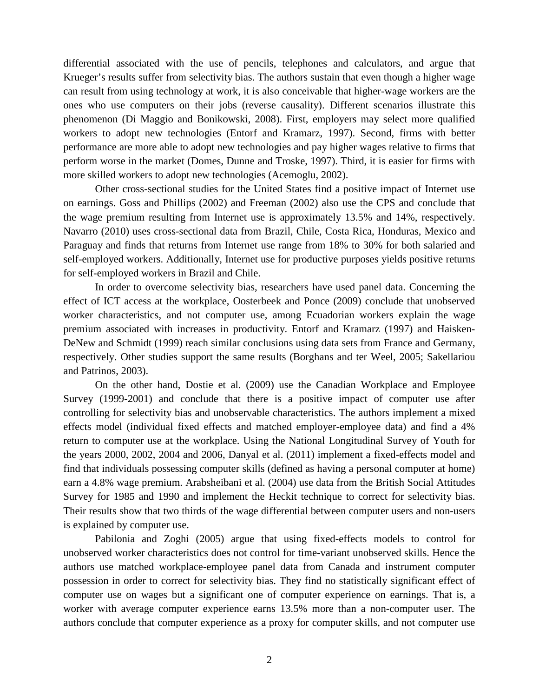differential associated with the use of pencils, telephones and calculators, and argue that Krueger's results suffer from selectivity bias. The authors sustain that even though a higher wage can result from using technology at work, it is also conceivable that higher-wage workers are the ones who use computers on their jobs (reverse causality). Different scenarios illustrate this phenomenon (Di Maggio and Bonikowski, 2008). First, employers may select more qualified workers to adopt new technologies (Entorf and Kramarz, 1997). Second, firms with better performance are more able to adopt new technologies and pay higher wages relative to firms that perform worse in the market (Domes, Dunne and Troske, 1997). Third, it is easier for firms with more skilled workers to adopt new technologies (Acemoglu, 2002).

Other cross-sectional studies for the United States find a positive impact of Internet use on earnings. Goss and Phillips (2002) and Freeman (2002) also use the CPS and conclude that the wage premium resulting from Internet use is approximately 13.5% and 14%, respectively. Navarro (2010) uses cross-sectional data from Brazil, Chile, Costa Rica, Honduras, Mexico and Paraguay and finds that returns from Internet use range from 18% to 30% for both salaried and self-employed workers. Additionally, Internet use for productive purposes yields positive returns for self-employed workers in Brazil and Chile.

In order to overcome selectivity bias, researchers have used panel data. Concerning the effect of ICT access at the workplace, Oosterbeek and Ponce (2009) conclude that unobserved worker characteristics, and not computer use, among Ecuadorian workers explain the wage premium associated with increases in productivity. Entorf and Kramarz (1997) and Haisken-DeNew and Schmidt (1999) reach similar conclusions using data sets from France and Germany, respectively. Other studies support the same results (Borghans and ter Weel, 2005; Sakellariou and Patrinos, 2003).

On the other hand, Dostie et al. (2009) use the Canadian Workplace and Employee Survey (1999-2001) and conclude that there is a positive impact of computer use after controlling for selectivity bias and unobservable characteristics. The authors implement a mixed effects model (individual fixed effects and matched employer-employee data) and find a 4% return to computer use at the workplace. Using the National Longitudinal Survey of Youth for the years 2000, 2002, 2004 and 2006, Danyal et al. (2011) implement a fixed-effects model and find that individuals possessing computer skills (defined as having a personal computer at home) earn a 4.8% wage premium. Arabsheibani et al. (2004) use data from the British Social Attitudes Survey for 1985 and 1990 and implement the Heckit technique to correct for selectivity bias. Their results show that two thirds of the wage differential between computer users and non-users is explained by computer use.

Pabilonia and Zoghi (2005) argue that using fixed-effects models to control for unobserved worker characteristics does not control for time-variant unobserved skills. Hence the authors use matched workplace-employee panel data from Canada and instrument computer possession in order to correct for selectivity bias. They find no statistically significant effect of computer use on wages but a significant one of computer experience on earnings. That is, a worker with average computer experience earns 13.5% more than a non-computer user. The authors conclude that computer experience as a proxy for computer skills, and not computer use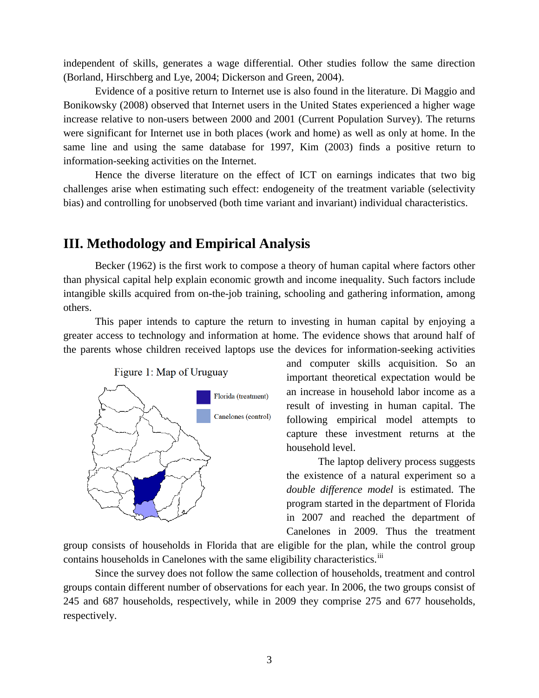independent of skills, generates a wage differential. Other studies follow the same direction (Borland, Hirschberg and Lye, 2004; Dickerson and Green, 2004).

Evidence of a positive return to Internet use is also found in the literature. Di Maggio and Bonikowsky (2008) observed that Internet users in the United States experienced a higher wage increase relative to non-users between 2000 and 2001 (Current Population Survey). The returns were significant for Internet use in both places (work and home) as well as only at home. In the same line and using the same database for 1997, Kim (2003) finds a positive return to information-seeking activities on the Internet.

Hence the diverse literature on the effect of ICT on earnings indicates that two big challenges arise when estimating such effect: endogeneity of the treatment variable (selectivity bias) and controlling for unobserved (both time variant and invariant) individual characteristics.

### **III. Methodology and Empirical Analysis**

Becker (1962) is the first work to compose a theory of human capital where factors other than physical capital help explain economic growth and income inequality. Such factors include intangible skills acquired from on-the-job training, schooling and gathering information, among others.

This paper intends to capture the return to investing in human capital by enjoying a greater access to technology and information at home. The evidence shows that around half of the parents whose children received laptops use the devices for information-seeking activities



Figure 1: Map of Uruguay

and computer skills acquisition. So an important theoretical expectation would be an increase in household labor income as a result of investing in human capital. The following empirical model attempts to capture these investment returns at the household level.

The laptop delivery process suggests the existence of a natural experiment so a *double difference model* is estimated. The program started in the department of Florida in 2007 and reached the department of Canelones in 2009. Thus the treatment

group consists of households in Florida that are eligible for the plan, while the control group contains households in Canelones with the same eligibility characteristics.<sup>[iii](#page-17-2)</sup>

Since the survey does not follow the same collection of households, treatment and control groups contain different number of observations for each year. In 2006, the two groups consist of 245 and 687 households, respectively, while in 2009 they comprise 275 and 677 households, respectively.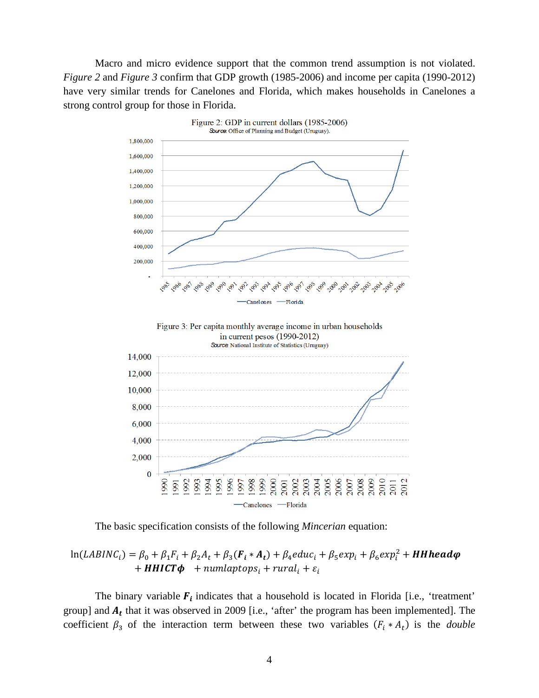Macro and micro evidence support that the common trend assumption is not violated. *Figure 2* and *Figure 3* confirm that GDP growth (1985-2006) and income per capita (1990-2012) have very similar trends for Canelones and Florida, which makes households in Canelones a strong control group for those in Florida.



The basic specification consists of the following *Mincerian* equation:

#### $ln(LABINC_i) = \beta_0 + \beta_1 F_i + \beta_2 A_t + \beta_3 (F_i * A_t) + \beta_4 educ_i + \beta_5 exp_i + \beta_6 exp_i^2 + HHhead\varphi$ + **HHICT** $\phi$  + numlaptops<sub>i</sub> + rural<sub>i</sub> +  $\varepsilon$ <sub>i</sub>

The binary variable  $F_i$  indicates that a household is located in Florida [i.e., 'treatment' group] and  $A_t$  that it was observed in 2009 [i.e., 'after' the program has been implemented]. The coefficient  $\beta_3$  of the interaction term between these two variables ( $F_i * A_t$ ) is the *double*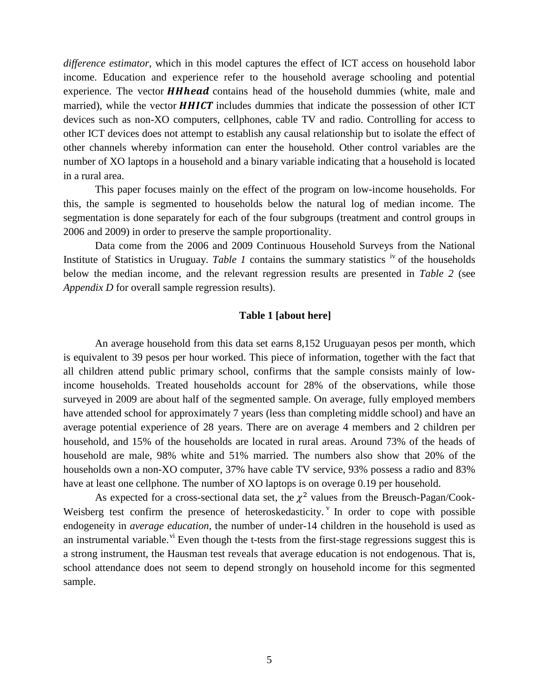*difference estimator*, which in this model captures the effect of ICT access on household labor income. Education and experience refer to the household average schooling and potential experience. The vector **HHhead** contains head of the household dummies (white, male and married), while the vector  $HHICT$  includes dummies that indicate the possession of other ICT devices such as non-XO computers, cellphones, cable TV and radio. Controlling for access to other ICT devices does not attempt to establish any causal relationship but to isolate the effect of other channels whereby information can enter the household. Other control variables are the number of XO laptops in a household and a binary variable indicating that a household is located in a rural area.

This paper focuses mainly on the effect of the program on low-income households. For this, the sample is segmented to households below the natural log of median income. The segmentation is done separately for each of the four subgroups (treatment and control groups in 2006 and 2009) in order to preserve the sample proportionality.

Data come from the 2006 and 2009 Continuous Household Surveys from the National Institute of Statistics in Uruguay. *Table 1* contains the summary statistics <sup>[iv](#page-17-3)</sup> of the households below the median income, and the relevant regression results are presented in *Table 2* (see *Appendix D* for overall sample regression results).

#### **Table 1 [about here]**

An average household from this data set earns 8,152 Uruguayan pesos per month, which is equivalent to 39 pesos per hour worked. This piece of information, together with the fact that all children attend public primary school, confirms that the sample consists mainly of lowincome households. Treated households account for 28% of the observations, while those surveyed in 2009 are about half of the segmented sample. On average, fully employed members have attended school for approximately 7 years (less than completing middle school) and have an average potential experience of 28 years. There are on average 4 members and 2 children per household, and 15% of the households are located in rural areas. Around 73% of the heads of household are male, 98% white and 51% married. The numbers also show that 20% of the households own a non-XO computer, 37% have cable TV service, 93% possess a radio and 83% have at least one cellphone. The number of XO laptops is on overage 0.19 per household.

As expected for a cross-sectional data set, the  $\chi^2$  values from the Breusch-Pagan/Cook-Weisberg test confirm the presence of heteroskedasticity. In order to cope with possible endogeneity in *average education*, the number of under-14 children in the household is used as an instrumental variable.<sup>[vi](#page-17-5)</sup> Even though the t-tests from the first-stage regressions suggest this is a strong instrument, the Hausman test reveals that average education is not endogenous. That is, school attendance does not seem to depend strongly on household income for this segmented sample.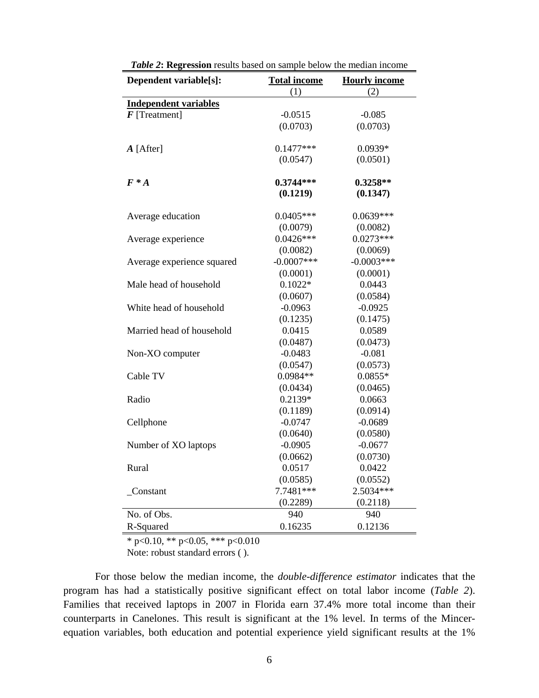| Dependent variable[s]:       | <b>Total income</b> | <b>Hourly income</b> |  |
|------------------------------|---------------------|----------------------|--|
|                              | (1)                 | (2)                  |  |
| <b>Independent variables</b> |                     |                      |  |
| $\boldsymbol{F}$ [Treatment] | $-0.0515$           | $-0.085$             |  |
|                              | (0.0703)            | (0.0703)             |  |
| $A$ [After]                  | $0.1477***$         | 0.0939*              |  |
|                              | (0.0547)            | (0.0501)             |  |
| $F^*A$                       | $0.3744***$         | $0.3258**$           |  |
|                              | (0.1219)            | (0.1347)             |  |
| Average education            | $0.0405***$         | $0.0639***$          |  |
|                              | (0.0079)            | (0.0082)             |  |
| Average experience           | $0.0426***$         | $0.0273***$          |  |
|                              | (0.0082)            | (0.0069)             |  |
| Average experience squared   | $-0.0007$ ***       | $-0.0003***$         |  |
|                              | (0.0001)            | (0.0001)             |  |
| Male head of household       | $0.1022*$           | 0.0443               |  |
|                              | (0.0607)            | (0.0584)             |  |
| White head of household      | $-0.0963$           | $-0.0925$            |  |
|                              | (0.1235)            | (0.1475)             |  |
| Married head of household    | 0.0415              | 0.0589               |  |
|                              | (0.0487)            | (0.0473)             |  |
| Non-XO computer              | $-0.0483$           | $-0.081$             |  |
|                              | (0.0547)            | (0.0573)             |  |
| Cable TV                     | 0.0984**            | $0.0855*$            |  |
|                              | (0.0434)            | (0.0465)             |  |
| Radio                        | $0.2139*$           | 0.0663               |  |
|                              | (0.1189)            | (0.0914)             |  |
| Cellphone                    | $-0.0747$           | $-0.0689$            |  |
|                              | (0.0640)            | (0.0580)             |  |
| Number of XO laptops         | $-0.0905$           | $-0.0677$            |  |
|                              | (0.0662)            | (0.0730)             |  |
| Rural                        | 0.0517              | 0.0422               |  |
|                              | (0.0585)            | (0.0552)             |  |
| Constant                     | 7.7481 ***          | 2.5034***            |  |
|                              | (0.2289)            | (0.2118)             |  |
| No. of Obs.                  | 940                 | 940                  |  |
| R-Squared                    | 0.16235             | 0.12136              |  |

*Table 2***: Regression** results based on sample below the median income

 $*$  p<0.10, \*\* p<0.05, \*\*\* p<0.010

Note: robust standard errors ( ).

For those below the median income, the *double-difference estimator* indicates that the program has had a statistically positive significant effect on total labor income (*Table 2*). Families that received laptops in 2007 in Florida earn 37.4% more total income than their counterparts in Canelones. This result is significant at the 1% level. In terms of the Mincerequation variables, both education and potential experience yield significant results at the 1%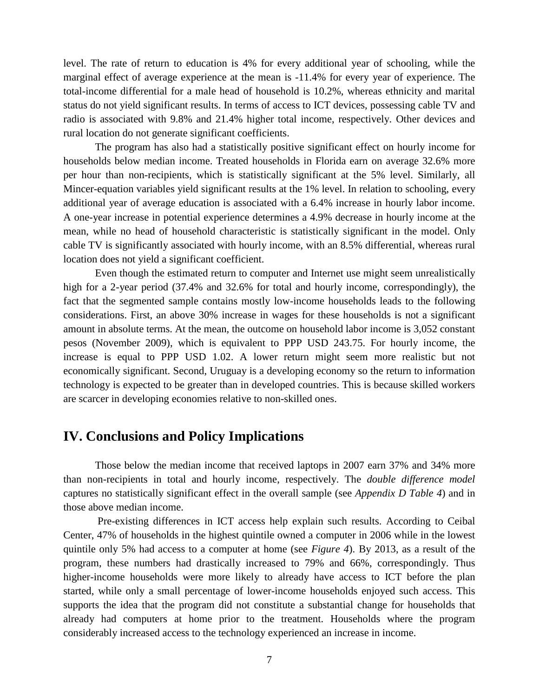level. The rate of return to education is 4% for every additional year of schooling, while the marginal effect of average experience at the mean is -11.4% for every year of experience. The total-income differential for a male head of household is 10.2%, whereas ethnicity and marital status do not yield significant results. In terms of access to ICT devices, possessing cable TV and radio is associated with 9.8% and 21.4% higher total income, respectively. Other devices and rural location do not generate significant coefficients.

The program has also had a statistically positive significant effect on hourly income for households below median income. Treated households in Florida earn on average 32.6% more per hour than non-recipients, which is statistically significant at the 5% level. Similarly, all Mincer-equation variables yield significant results at the 1% level. In relation to schooling, every additional year of average education is associated with a 6.4% increase in hourly labor income. A one-year increase in potential experience determines a 4.9% decrease in hourly income at the mean, while no head of household characteristic is statistically significant in the model. Only cable TV is significantly associated with hourly income, with an 8.5% differential, whereas rural location does not yield a significant coefficient.

Even though the estimated return to computer and Internet use might seem unrealistically high for a 2-year period (37.4% and 32.6% for total and hourly income, correspondingly), the fact that the segmented sample contains mostly low-income households leads to the following considerations. First, an above 30% increase in wages for these households is not a significant amount in absolute terms. At the mean, the outcome on household labor income is 3,052 constant pesos (November 2009), which is equivalent to PPP USD 243.75. For hourly income, the increase is equal to PPP USD 1.02. A lower return might seem more realistic but not economically significant. Second, Uruguay is a developing economy so the return to information technology is expected to be greater than in developed countries. This is because skilled workers are scarcer in developing economies relative to non-skilled ones.

#### **IV. Conclusions and Policy Implications**

Those below the median income that received laptops in 2007 earn 37% and 34% more than non-recipients in total and hourly income, respectively. The *double difference model* captures no statistically significant effect in the overall sample (see *Appendix D Table 4*) and in those above median income.

Pre-existing differences in ICT access help explain such results. According to Ceibal Center, 47% of households in the highest quintile owned a computer in 2006 while in the lowest quintile only 5% had access to a computer at home (see *Figure 4*). By 2013, as a result of the program, these numbers had drastically increased to 79% and 66%, correspondingly. Thus higher-income households were more likely to already have access to ICT before the plan started, while only a small percentage of lower-income households enjoyed such access. This supports the idea that the program did not constitute a substantial change for households that already had computers at home prior to the treatment. Households where the program considerably increased access to the technology experienced an increase in income.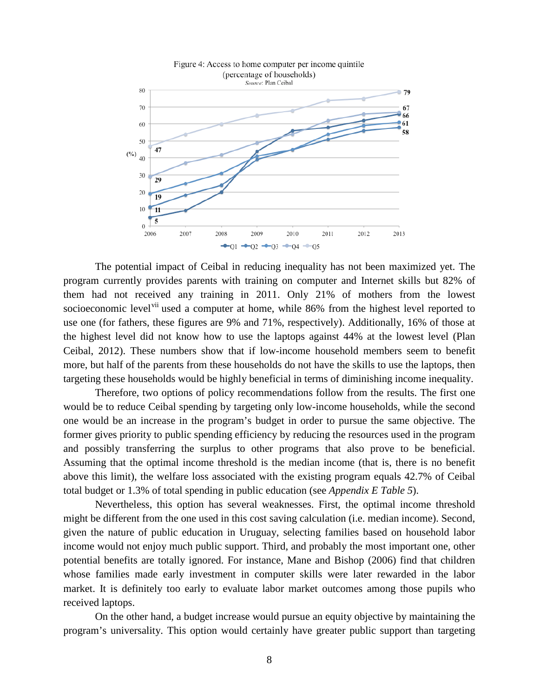

The potential impact of Ceibal in reducing inequality has not been maximized yet. The program currently provides parents with training on computer and Internet skills but 82% of them had not received any training in 2011. Only 21% of mothers from the lowest socioeconomic level<sup>[vii](#page-17-6)</sup> used a computer at home, while 86% from the highest level reported to use one (for fathers, these figures are 9% and 71%, respectively). Additionally, 16% of those at the highest level did not know how to use the laptops against 44% at the lowest level (Plan Ceibal, 2012). These numbers show that if low-income household members seem to benefit more, but half of the parents from these households do not have the skills to use the laptops, then targeting these households would be highly beneficial in terms of diminishing income inequality.

Therefore, two options of policy recommendations follow from the results. The first one would be to reduce Ceibal spending by targeting only low-income households, while the second one would be an increase in the program's budget in order to pursue the same objective. The former gives priority to public spending efficiency by reducing the resources used in the program and possibly transferring the surplus to other programs that also prove to be beneficial. Assuming that the optimal income threshold is the median income (that is, there is no benefit above this limit), the welfare loss associated with the existing program equals 42.7% of Ceibal total budget or 1.3% of total spending in public education (see *Appendix E Table 5*).

Nevertheless, this option has several weaknesses. First, the optimal income threshold might be different from the one used in this cost saving calculation (i.e. median income). Second, given the nature of public education in Uruguay, selecting families based on household labor income would not enjoy much public support. Third, and probably the most important one, other potential benefits are totally ignored. For instance, Mane and Bishop (2006) find that children whose families made early investment in computer skills were later rewarded in the labor market. It is definitely too early to evaluate labor market outcomes among those pupils who received laptops.

On the other hand, a budget increase would pursue an equity objective by maintaining the program's universality. This option would certainly have greater public support than targeting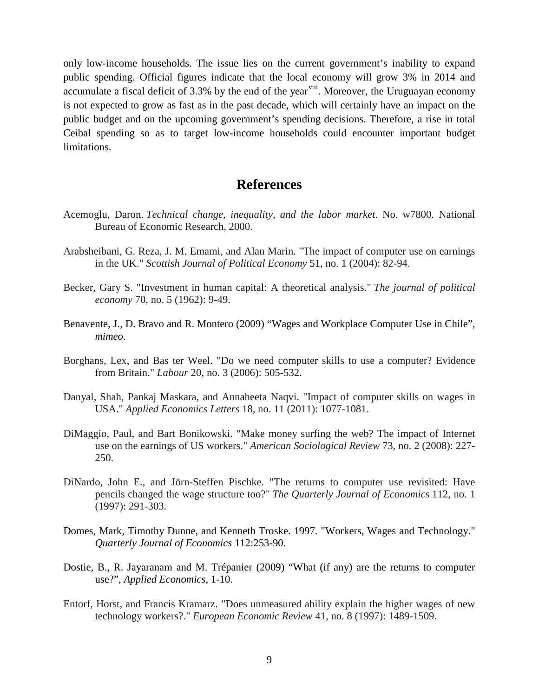only low-income households. The issue lies on the current government's inability to expand public spending. Official figures indicate that the local economy will grow 3% in 2014 and accumulate a fiscal deficit of 3.3% by the end of the year<sup>viii</sup>. Moreover, the Uruguayan economy is not expected to grow as fast as in the past decade, which will certainly have an impact on the public budget and on the upcoming government's spending decisions. Therefore, a rise in total Ceibal spending so as to target low-income households could encounter important budget limitations.

#### **References**

- Acemoglu, Daron. *Technical change, inequality, and the labor market*. No. w7800. National Bureau of Economic Research, 2000.
- Arabsheibani, G. Reza, J. M. Emami, and Alan Marin. "The impact of computer use on earnings in the UK." *Scottish Journal of Political Economy* 51, no. 1 (2004): 82-94.
- Becker, Gary S. "Investment in human capital: A theoretical analysis." *The journal of political economy* 70, no. 5 (1962): 9-49.
- Benavente, J., D. Bravo and R. Montero (2009) "Wages and Workplace Computer Use in Chile", *mimeo*.
- Borghans, Lex, and Bas ter Weel. "Do we need computer skills to use a computer? Evidence from Britain." *Labour* 20, no. 3 (2006): 505-532.
- Danyal, Shah, Pankaj Maskara, and Annaheeta Naqvi. "Impact of computer skills on wages in USA." *Applied Economics Letters* 18, no. 11 (2011): 1077-1081.
- DiMaggio, Paul, and Bart Bonikowski. "Make money surfing the web? The impact of Internet use on the earnings of US workers." *American Sociological Review* 73, no. 2 (2008): 227- 250.
- DiNardo, John E., and Jörn-Steffen Pischke. "The returns to computer use revisited: Have pencils changed the wage structure too?" *The Quarterly Journal of Economics* 112, no. 1 (1997): 291-303.
- Domes, Mark, Timothy Dunne, and Kenneth Troske. 1997. "Workers, Wages and Technology." *Quarterly Journal of Economics* 112:253-90.
- Dostie, B., R. Jayaranam and M. Trépanier (2009) "What (if any) are the returns to computer use?", *Applied Economics*, 1-10.
- Entorf, Horst, and Francis Kramarz. "Does unmeasured ability explain the higher wages of new technology workers?." *European Economic Review* 41, no. 8 (1997): 1489-1509.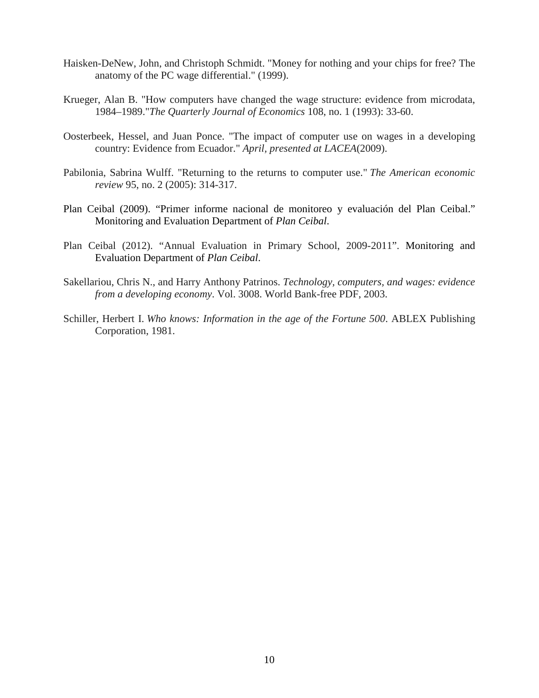- Haisken-DeNew, John, and Christoph Schmidt. "Money for nothing and your chips for free? The anatomy of the PC wage differential." (1999).
- Krueger, Alan B. "How computers have changed the wage structure: evidence from microdata, 1984–1989."*The Quarterly Journal of Economics* 108, no. 1 (1993): 33-60.
- Oosterbeek, Hessel, and Juan Ponce. "The impact of computer use on wages in a developing country: Evidence from Ecuador." *April, presented at LACEA*(2009).
- Pabilonia, Sabrina Wulff. "Returning to the returns to computer use." *The American economic review* 95, no. 2 (2005): 314-317.
- Plan Ceibal (2009). "Primer informe nacional de monitoreo y evaluación del Plan Ceibal." Monitoring and Evaluation Department of *Plan Ceibal*.
- Plan Ceibal (2012). "Annual Evaluation in Primary School, 2009-2011". Monitoring and Evaluation Department of *Plan Ceibal*.
- Sakellariou, Chris N., and Harry Anthony Patrinos. *Technology, computers, and wages: evidence from a developing economy*. Vol. 3008. World Bank-free PDF, 2003.
- Schiller, Herbert I. *Who knows: Information in the age of the Fortune 500*. ABLEX Publishing Corporation, 1981.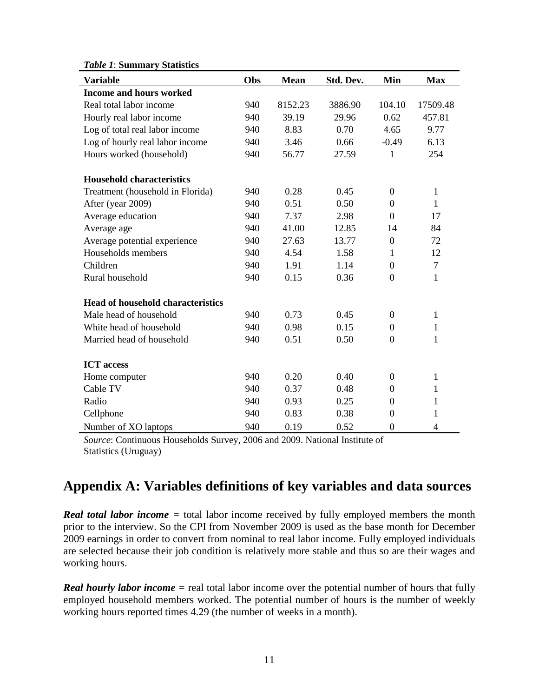| <b>Variable</b>                          | Obs | <b>Mean</b> | Std. Dev. | Min              | <b>Max</b>     |
|------------------------------------------|-----|-------------|-----------|------------------|----------------|
| <b>Income and hours worked</b>           |     |             |           |                  |                |
| Real total labor income                  | 940 | 8152.23     | 3886.90   | 104.10           | 17509.48       |
| Hourly real labor income                 | 940 | 39.19       | 29.96     | 0.62             | 457.81         |
| Log of total real labor income           | 940 | 8.83        | 0.70      | 4.65             | 9.77           |
| Log of hourly real labor income          | 940 | 3.46        | 0.66      | $-0.49$          | 6.13           |
| Hours worked (household)                 | 940 | 56.77       | 27.59     | 1                | 254            |
| <b>Household characteristics</b>         |     |             |           |                  |                |
| Treatment (household in Florida)         | 940 | 0.28        | 0.45      | $\overline{0}$   | $\mathbf{1}$   |
| After (year 2009)                        | 940 | 0.51        | 0.50      | $\boldsymbol{0}$ | 1              |
| Average education                        | 940 | 7.37        | 2.98      | $\overline{0}$   | 17             |
| Average age                              | 940 | 41.00       | 12.85     | 14               | 84             |
| Average potential experience             | 940 | 27.63       | 13.77     | $\boldsymbol{0}$ | 72             |
| Households members                       | 940 | 4.54        | 1.58      | $\mathbf{1}$     | 12             |
| Children                                 | 940 | 1.91        | 1.14      | $\boldsymbol{0}$ | $\tau$         |
| Rural household                          | 940 | 0.15        | 0.36      | $\overline{0}$   | $\mathbf{1}$   |
| <b>Head of household characteristics</b> |     |             |           |                  |                |
| Male head of household                   | 940 | 0.73        | 0.45      | $\boldsymbol{0}$ | $\mathbf{1}$   |
| White head of household                  | 940 | 0.98        | 0.15      | $\theta$         | $\mathbf{1}$   |
| Married head of household                | 940 | 0.51        | 0.50      | $\boldsymbol{0}$ | $\mathbf{1}$   |
| <b>ICT</b> access                        |     |             |           |                  |                |
| Home computer                            | 940 | 0.20        | 0.40      | $\overline{0}$   | $\mathbf{1}$   |
| Cable TV                                 | 940 | 0.37        | 0.48      | $\boldsymbol{0}$ | 1              |
| Radio                                    | 940 | 0.93        | 0.25      | $\Omega$         | 1              |
| Cellphone                                | 940 | 0.83        | 0.38      | $\theta$         | $\mathbf{1}$   |
| Number of XO laptops                     | 940 | 0.19        | 0.52      | $\overline{0}$   | $\overline{4}$ |

#### *Table 1*: **Summary Statistics**

*Source*: Continuous Households Survey, 2006 and 2009. National Institute of Statistics (Uruguay)

## **Appendix A: Variables definitions of key variables and data sources**

*Real total labor income* = total labor income received by fully employed members the month prior to the interview. So the CPI from November 2009 is used as the base month for December 2009 earnings in order to convert from nominal to real labor income. Fully employed individuals are selected because their job condition is relatively more stable and thus so are their wages and working hours.

*Real hourly labor income* = real total labor income over the potential number of hours that fully employed household members worked. The potential number of hours is the number of weekly working hours reported times 4.29 (the number of weeks in a month).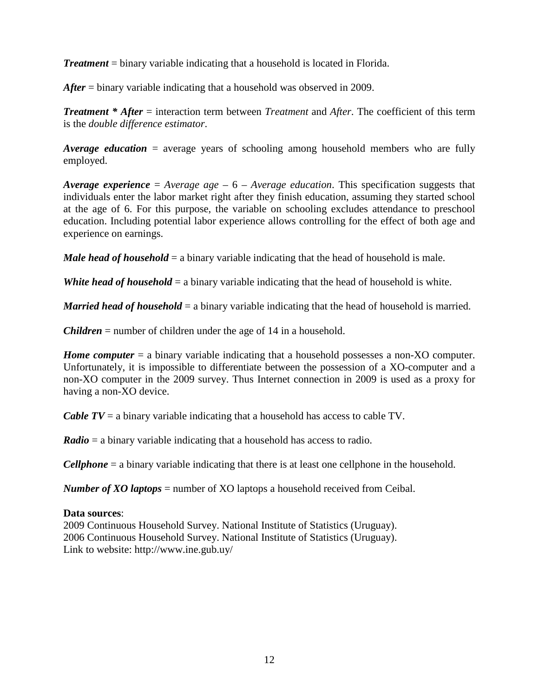*Treatment* = binary variable indicating that a household is located in Florida.

*After* = binary variable indicating that a household was observed in 2009.

*Treatment \* After* = interaction term between *Treatment* and *After*. The coefficient of this term is the *double difference estimator*.

*Average education* = average years of schooling among household members who are fully employed.

*Average experience* = *Average age* – 6 – *Average education*. This specification suggests that individuals enter the labor market right after they finish education, assuming they started school at the age of 6. For this purpose, the variable on schooling excludes attendance to preschool education. Including potential labor experience allows controlling for the effect of both age and experience on earnings.

*Male head of household* = a binary variable indicating that the head of household is male.

*White head of household* = a binary variable indicating that the head of household is white.

*Married head of household* = a binary variable indicating that the head of household is married.

*Children* = number of children under the age of 14 in a household.

*Home computer* = a binary variable indicating that a household possesses a non-XO computer. Unfortunately, it is impossible to differentiate between the possession of a XO-computer and a non-XO computer in the 2009 survey. Thus Internet connection in 2009 is used as a proxy for having a non-XO device.

*Cable TV* = a binary variable indicating that a household has access to cable TV.

*Radio* = a binary variable indicating that a household has access to radio.

*Cellphone* = a binary variable indicating that there is at least one cellphone in the household.

*Number of XO laptops* = number of XO laptops a household received from Ceibal.

#### **Data sources**:

2009 Continuous Household Survey. National Institute of Statistics (Uruguay). 2006 Continuous Household Survey. National Institute of Statistics (Uruguay). Link to website: http://www.ine.gub.uy/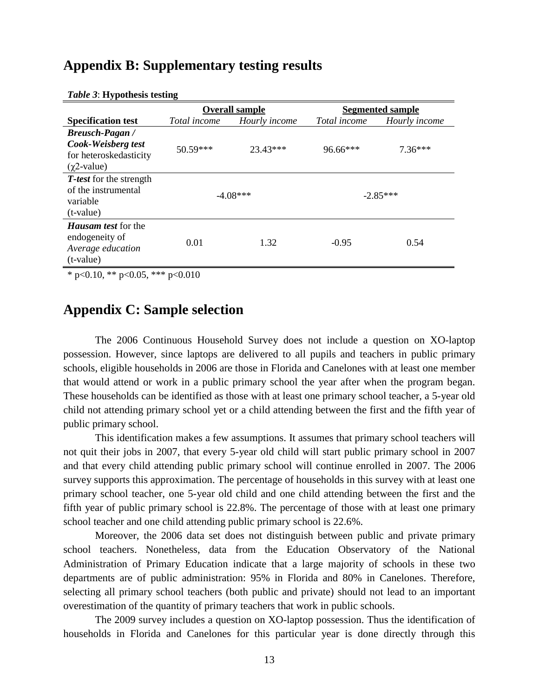#### **Appendix B: Supplementary testing results**

|                                                                                            | <b>Overall sample</b> |               | <b>Segmented sample</b> |               |
|--------------------------------------------------------------------------------------------|-----------------------|---------------|-------------------------|---------------|
| <b>Specification test</b>                                                                  | <i>Total income</i>   | Hourly income | Total income            | Hourly income |
| <b>Breusch-Pagan</b> /<br>Cook-Weisberg test<br>for heteroskedasticity<br>$(\chi$ 2-value) | $50.59***$            | 23.43***      | 96.66***                | $7.36***$     |
| <b>T</b> -test for the strength<br>of the instrumental<br>variable<br>$(t$ -value)         | $-4.08***$            |               | $-2.85***$              |               |
| <i>Hausam test</i> for the<br>endogeneity of<br>Average education<br>$(t-value)$           | 0.01                  | 1.32          | $-0.95$                 | 0.54          |

#### *Table 3*: **Hypothesis testing**

\* p<0.10, \*\* p<0.05, \*\*\* p<0.010

#### **Appendix C: Sample selection**

The 2006 Continuous Household Survey does not include a question on XO-laptop possession. However, since laptops are delivered to all pupils and teachers in public primary schools, eligible households in 2006 are those in Florida and Canelones with at least one member that would attend or work in a public primary school the year after when the program began. These households can be identified as those with at least one primary school teacher, a 5-year old child not attending primary school yet or a child attending between the first and the fifth year of public primary school.

This identification makes a few assumptions. It assumes that primary school teachers will not quit their jobs in 2007, that every 5-year old child will start public primary school in 2007 and that every child attending public primary school will continue enrolled in 2007. The 2006 survey supports this approximation. The percentage of households in this survey with at least one primary school teacher, one 5-year old child and one child attending between the first and the fifth year of public primary school is 22.8%. The percentage of those with at least one primary school teacher and one child attending public primary school is 22.6%.

Moreover, the 2006 data set does not distinguish between public and private primary school teachers. Nonetheless, data from the Education Observatory of the National Administration of Primary Education indicate that a large majority of schools in these two departments are of public administration: 95% in Florida and 80% in Canelones. Therefore, selecting all primary school teachers (both public and private) should not lead to an important overestimation of the quantity of primary teachers that work in public schools.

The 2009 survey includes a question on XO-laptop possession. Thus the identification of households in Florida and Canelones for this particular year is done directly through this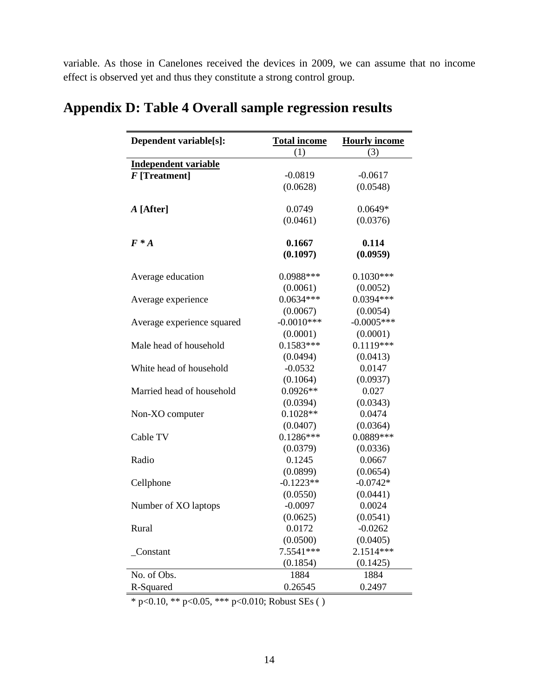variable. As those in Canelones received the devices in 2009, we can assume that no income effect is observed yet and thus they constitute a strong control group.

| Dependent variable[s]:      | <b>Total income</b><br><b>Hourly income</b> |              |
|-----------------------------|---------------------------------------------|--------------|
|                             | (1)                                         | (3)          |
| <b>Independent variable</b> |                                             |              |
| $F$ [Treatment]             | $-0.0819$                                   | $-0.0617$    |
|                             | (0.0628)                                    | (0.0548)     |
|                             |                                             |              |
| A [After]                   | 0.0749                                      | $0.0649*$    |
|                             | (0.0461)                                    | (0.0376)     |
| $F^*A$                      | 0.1667                                      | 0.114        |
|                             | (0.1097)                                    | (0.0959)     |
|                             |                                             |              |
| Average education           | 0.0988***                                   | $0.1030***$  |
|                             | (0.0061)                                    | (0.0052)     |
| Average experience          | $0.0634***$                                 | $0.0394***$  |
|                             | (0.0067)                                    | (0.0054)     |
| Average experience squared  | $-0.0010***$                                | $-0.0005***$ |
|                             | (0.0001)                                    | (0.0001)     |
| Male head of household      | $0.1583***$                                 | $0.1119***$  |
|                             | (0.0494)                                    | (0.0413)     |
| White head of household     | $-0.0532$                                   | 0.0147       |
|                             | (0.1064)                                    | (0.0937)     |
| Married head of household   | $0.0926**$                                  | 0.027        |
|                             | (0.0394)                                    | (0.0343)     |
| Non-XO computer             | $0.1028**$                                  | 0.0474       |
|                             | (0.0407)                                    | (0.0364)     |
| Cable TV                    | $0.1286***$                                 | 0.0889***    |
|                             | (0.0379)                                    | (0.0336)     |
| Radio                       | 0.1245                                      | 0.0667       |
|                             | (0.0899)                                    | (0.0654)     |
| Cellphone                   | $-0.1223**$                                 | $-0.0742*$   |
|                             | (0.0550)                                    | (0.0441)     |
| Number of XO laptops        | $-0.0097$                                   | 0.0024       |
|                             | (0.0625)                                    | (0.0541)     |
| Rural                       | 0.0172                                      | $-0.0262$    |
|                             | (0.0500)                                    | (0.0405)     |
| Constant                    | 7.5541 ***                                  | 2.1514***    |
|                             | (0.1854)                                    | (0.1425)     |
| No. of Obs.                 | 1884                                        | 1884         |
| R-Squared                   | 0.26545                                     | 0.2497       |

# **Appendix D: Table 4 Overall sample regression results**

\* p<0.10, \*\* p<0.05, \*\*\* p<0.010; Robust SEs ( )